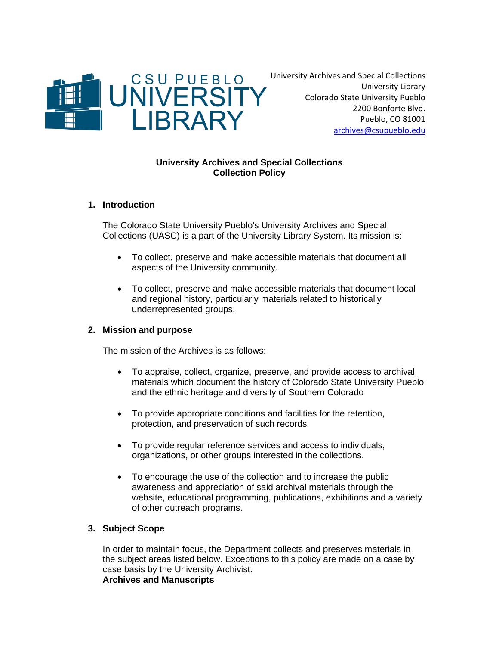

University Archives and Special Collections University Library Colorado State University Pueblo 2200 Bonforte Blvd. Pueblo, CO 81001 [archives@csupueblo.edu](mailto:archives@csupueblo.edu)

# **University Archives and Special Collections Collection Policy**

# **1. Introduction**

The Colorado State University Pueblo's University Archives and Special Collections (UASC) is a part of the University Library System. Its mission is:

- To collect, preserve and make accessible materials that document all aspects of the University community.
- To collect, preserve and make accessible materials that document local and regional history, particularly materials related to historically underrepresented groups.

# **2. Mission and purpose**

The mission of the Archives is as follows:

- To appraise, collect, organize, preserve, and provide access to archival materials which document the history of Colorado State University Pueblo and the ethnic heritage and diversity of Southern Colorado
- To provide appropriate conditions and facilities for the retention, protection, and preservation of such records.
- To provide regular reference services and access to individuals, organizations, or other groups interested in the collections.
- To encourage the use of the collection and to increase the public awareness and appreciation of said archival materials through the website, educational programming, publications, exhibitions and a variety of other outreach programs.

# **3. Subject Scope**

In order to maintain focus, the Department collects and preserves materials in the subject areas listed below. Exceptions to this policy are made on a case by case basis by the University Archivist. **Archives and Manuscripts**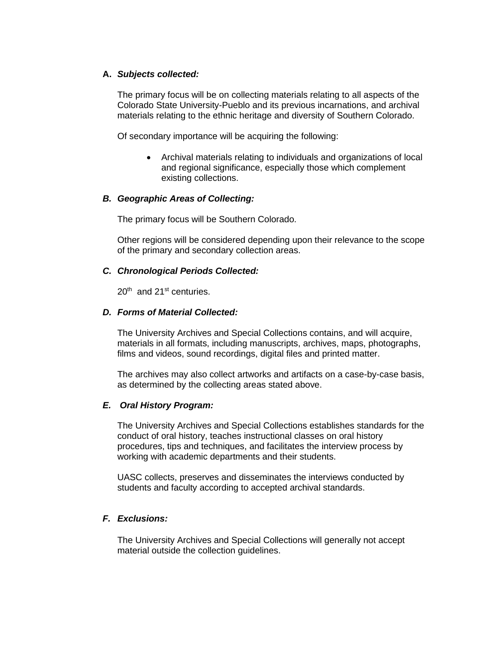#### **A.** *Subjects collected:*

The primary focus will be on collecting materials relating to all aspects of the Colorado State University-Pueblo and its previous incarnations, and archival materials relating to the ethnic heritage and diversity of Southern Colorado.

Of secondary importance will be acquiring the following:

• Archival materials relating to individuals and organizations of local and regional significance, especially those which complement existing collections.

# *B. Geographic Areas of Collecting:*

The primary focus will be Southern Colorado.

Other regions will be considered depending upon their relevance to the scope of the primary and secondary collection areas.

#### *C. Chronological Periods Collected:*

 $20<sup>th</sup>$  and  $21<sup>st</sup>$  centuries.

#### *D. Forms of Material Collected:*

The University Archives and Special Collections contains, and will acquire, materials in all formats, including manuscripts, archives, maps, photographs, films and videos, sound recordings, digital files and printed matter.

The archives may also collect artworks and artifacts on a case-by-case basis, as determined by the collecting areas stated above.

#### *E. Oral History Program:*

The University Archives and Special Collections establishes standards for the conduct of oral history, teaches instructional classes on oral history procedures, tips and techniques, and facilitates the interview process by working with academic departments and their students.

UASC collects, preserves and disseminates the interviews conducted by students and faculty according to accepted archival standards.

# *F. Exclusions:*

The University Archives and Special Collections will generally not accept material outside the collection guidelines.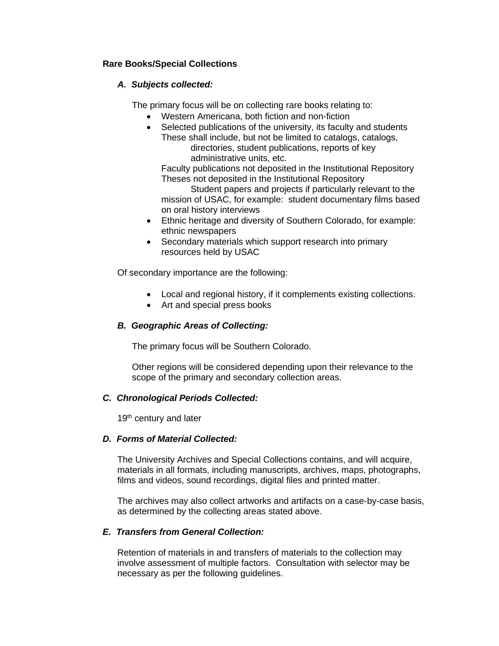# **Rare Books/Special Collections**

# *A. Subjects collected:*

The primary focus will be on collecting rare books relating to:

- Western Americana, both fiction and non-fiction
- Selected publications of the university, its faculty and students These shall include, but not be limited to catalogs, catalogs, directories, student publications, reports of key administrative units, etc.

Faculty publications not deposited in the Institutional Repository Theses not deposited in the Institutional Repository

Student papers and projects if particularly relevant to the mission of USAC, for example: student documentary films based on oral history interviews

- Ethnic heritage and diversity of Southern Colorado, for example: ethnic newspapers
- Secondary materials which support research into primary resources held by USAC

Of secondary importance are the following:

- Local and regional history, if it complements existing collections.
- Art and special press books

# *B. Geographic Areas of Collecting:*

The primary focus will be Southern Colorado.

Other regions will be considered depending upon their relevance to the scope of the primary and secondary collection areas.

# *C. Chronological Periods Collected:*

19<sup>th</sup> century and later

# *D. Forms of Material Collected:*

The University Archives and Special Collections contains, and will acquire, materials in all formats, including manuscripts, archives, maps, photographs, films and videos, sound recordings, digital files and printed matter.

The archives may also collect artworks and artifacts on a case-by-case basis, as determined by the collecting areas stated above.

# *E. Transfers from General Collection:*

Retention of materials in and transfers of materials to the collection may involve assessment of multiple factors. Consultation with selector may be necessary as per the following guidelines.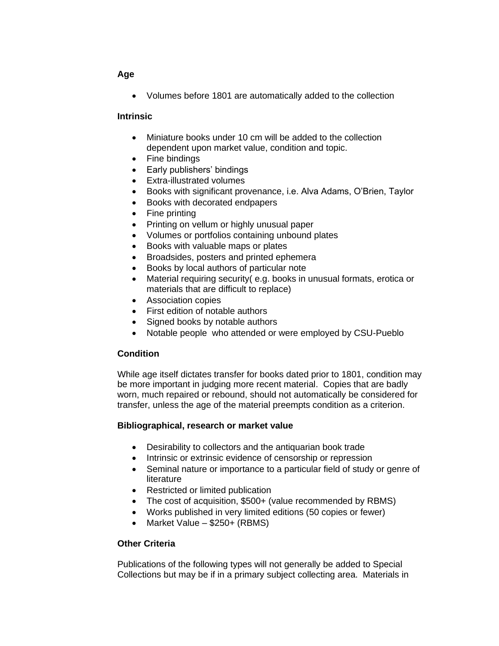## **Age**

• Volumes before 1801 are automatically added to the collection

#### **Intrinsic**

- Miniature books under 10 cm will be added to the collection dependent upon market value, condition and topic.
- Fine bindings
- Early publishers' bindings
- Extra-illustrated volumes
- Books with significant provenance, i.e. Alva Adams, O'Brien, Taylor
- Books with decorated endpapers
- Fine printing
- Printing on vellum or highly unusual paper
- Volumes or portfolios containing unbound plates
- Books with valuable maps or plates
- Broadsides, posters and printed ephemera
- Books by local authors of particular note
- Material requiring security (e.g. books in unusual formats, erotica or materials that are difficult to replace)
- Association copies
- First edition of notable authors
- Signed books by notable authors
- Notable people who attended or were employed by CSU-Pueblo

# **Condition**

While age itself dictates transfer for books dated prior to 1801, condition may be more important in judging more recent material. Copies that are badly worn, much repaired or rebound, should not automatically be considered for transfer, unless the age of the material preempts condition as a criterion.

# **Bibliographical, research or market value**

- Desirability to collectors and the antiquarian book trade
- Intrinsic or extrinsic evidence of censorship or repression
- Seminal nature or importance to a particular field of study or genre of literature
- Restricted or limited publication
- The cost of acquisition, \$500+ (value recommended by RBMS)
- Works published in very limited editions (50 copies or fewer)
- Market Value \$250+ (RBMS)

# **Other Criteria**

Publications of the following types will not generally be added to Special Collections but may be if in a primary subject collecting area. Materials in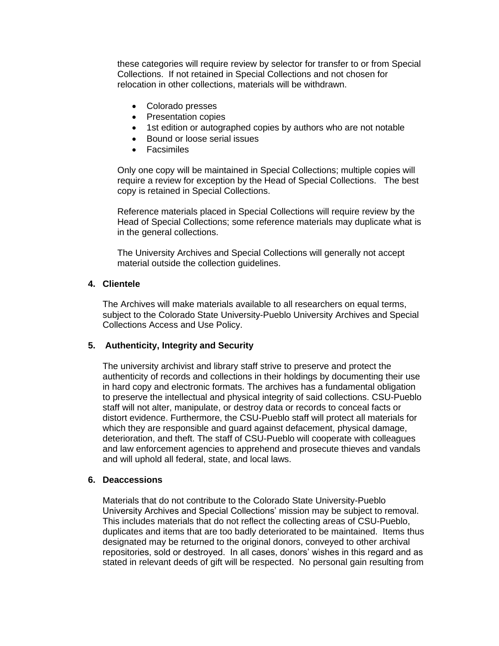these categories will require review by selector for transfer to or from Special Collections. If not retained in Special Collections and not chosen for relocation in other collections, materials will be withdrawn.

- Colorado presses
- Presentation copies
- 1st edition or autographed copies by authors who are not notable
- Bound or loose serial issues
- Facsimiles

Only one copy will be maintained in Special Collections; multiple copies will require a review for exception by the Head of Special Collections. The best copy is retained in Special Collections.

Reference materials placed in Special Collections will require review by the Head of Special Collections; some reference materials may duplicate what is in the general collections.

The University Archives and Special Collections will generally not accept material outside the collection guidelines.

#### **4. Clientele**

The Archives will make materials available to all researchers on equal terms, subject to the Colorado State University-Pueblo University Archives and Special Collections Access and Use Policy.

# **5. Authenticity, Integrity and Security**

The university archivist and library staff strive to preserve and protect the authenticity of records and collections in their holdings by documenting their use in hard copy and electronic formats. The archives has a fundamental obligation to preserve the intellectual and physical integrity of said collections. CSU-Pueblo staff will not alter, manipulate, or destroy data or records to conceal facts or distort evidence. Furthermore, the CSU-Pueblo staff will protect all materials for which they are responsible and guard against defacement, physical damage, deterioration, and theft. The staff of CSU-Pueblo will cooperate with colleagues and law enforcement agencies to apprehend and prosecute thieves and vandals and will uphold all federal, state, and local laws.

#### **6. Deaccessions**

Materials that do not contribute to the Colorado State University-Pueblo University Archives and Special Collections' mission may be subject to removal. This includes materials that do not reflect the collecting areas of CSU-Pueblo, duplicates and items that are too badly deteriorated to be maintained. Items thus designated may be returned to the original donors, conveyed to other archival repositories, sold or destroyed. In all cases, donors' wishes in this regard and as stated in relevant deeds of gift will be respected. No personal gain resulting from